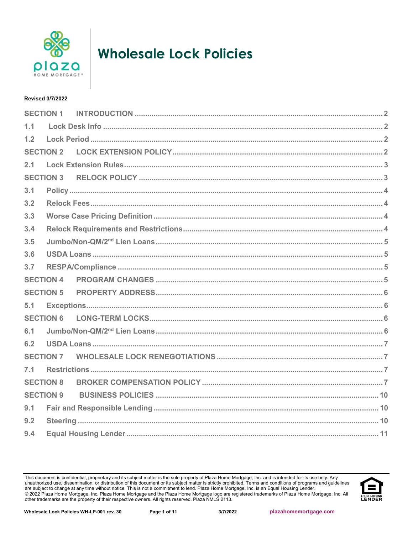

# **Wholesale Lock Policies**

## **Revised 3/7/2022**

| <b>SECTION 1</b> |  |  |  |  |  |
|------------------|--|--|--|--|--|
| 1.1              |  |  |  |  |  |
| 1.2              |  |  |  |  |  |
| <b>SECTION 2</b> |  |  |  |  |  |
| 2.1              |  |  |  |  |  |
| <b>SECTION 3</b> |  |  |  |  |  |
| 3.1              |  |  |  |  |  |
| 3.2              |  |  |  |  |  |
| 3.3              |  |  |  |  |  |
| 3.4              |  |  |  |  |  |
| 3.5              |  |  |  |  |  |
| 3.6              |  |  |  |  |  |
| 3.7              |  |  |  |  |  |
| <b>SECTION 4</b> |  |  |  |  |  |
| <b>SECTION 5</b> |  |  |  |  |  |
| 5.1              |  |  |  |  |  |
| <b>SECTION 6</b> |  |  |  |  |  |
| 6.1              |  |  |  |  |  |
| 6.2              |  |  |  |  |  |
| <b>SECTION 7</b> |  |  |  |  |  |
| 7.1              |  |  |  |  |  |
| <b>SECTION 8</b> |  |  |  |  |  |
| <b>SECTION 9</b> |  |  |  |  |  |
| 9.1              |  |  |  |  |  |
| 9.2              |  |  |  |  |  |
| 9.4              |  |  |  |  |  |

This document is confidential, proprietary and its subject matter is the sole property of Plaza Home Mortgage, Inc. and is intended for its use only. Any unauthorized use, dissemination, or distribution of this document or

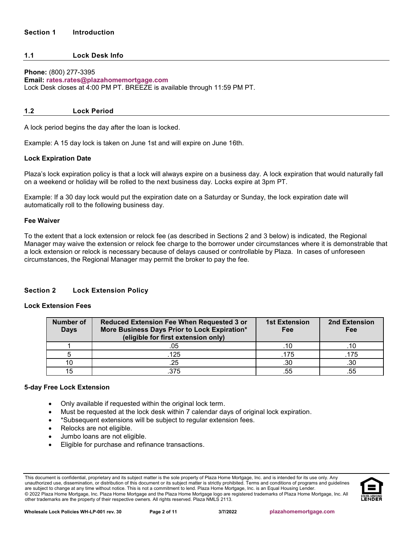## <span id="page-1-1"></span><span id="page-1-0"></span>**1.1 Lock Desk Info**

#### **Phone:** (800) 277-3395 **Email: [rates.rates@plazahomemortgage.com](mailto:rates.rates@plazahomemortgage.com)** Lock Desk closes at 4:00 PM PT. BREEZE is available through 11:59 PM PT.

## <span id="page-1-2"></span>**1.2 Lock Period**

A lock period begins the day after the loan is locked.

Example: A 15 day lock is taken on June 1st and will expire on June 16th.

## **Lock Expiration Date**

Plaza's lock expiration policy is that a lock will always expire on a business day. A lock expiration that would naturally fall on a weekend or holiday will be rolled to the next business day. Locks expire at 3pm PT.

Example: If a 30 day lock would put the expiration date on a Saturday or Sunday, the lock expiration date will automatically roll to the following business day.

#### **Fee Waiver**

To the extent that a lock extension or relock fee (as described in Sections 2 and 3 below) is indicated, the Regional Manager may waive the extension or relock fee charge to the borrower under circumstances where it is demonstrable that a lock extension or relock is necessary because of delays caused or controllable by Plaza. In cases of unforeseen circumstances, the Regional Manager may permit the broker to pay the fee.

#### <span id="page-1-3"></span>**Section 2 Lock Extension Policy**

#### **Lock Extension Fees**

| <b>Number of</b><br><b>Days</b> | <b>Reduced Extension Fee When Requested 3 or</b><br>More Business Days Prior to Lock Expiration*<br>(eligible for first extension only) | <b>1st Extension</b><br>Fee | 2nd Extension<br><b>Fee</b> |
|---------------------------------|-----------------------------------------------------------------------------------------------------------------------------------------|-----------------------------|-----------------------------|
|                                 | .05                                                                                                                                     |                             |                             |
|                                 | .125                                                                                                                                    | .175                        | .175                        |
|                                 | .25                                                                                                                                     | .30                         | .30                         |
|                                 | 375                                                                                                                                     | .55                         |                             |

#### **5-day Free Lock Extension**

- Only available if requested within the original lock term.
- Must be requested at the lock desk within 7 calendar days of original lock expiration.
- \*Subsequent extensions will be subject to regular extension fees.
- Relocks are not eligible.
- Jumbo loans are not eligible.
- Eligible for purchase and refinance transactions.

This document is confidential, proprietary and its subject matter is the sole property of Plaza Home Mortgage, Inc. and is intended for its use only. Any unauthorized use, dissemination, or distribution of this document or its subject matter is strictly prohibited. Terms and conditions of programs and guidelines are subject to change at any time without notice. This is not a commitment to lend. Plaza Home Mortgage, Inc. is an Equal Housing Lender © 2022 Plaza Home Mortgage, Inc. Plaza Home Mortgage and the Plaza Home Mortgage logo are registered trademarks of Plaza Home Mortgage, Inc. All other trademarks are the property of their respective owners. All rights reserved. Plaza NMLS 2113.

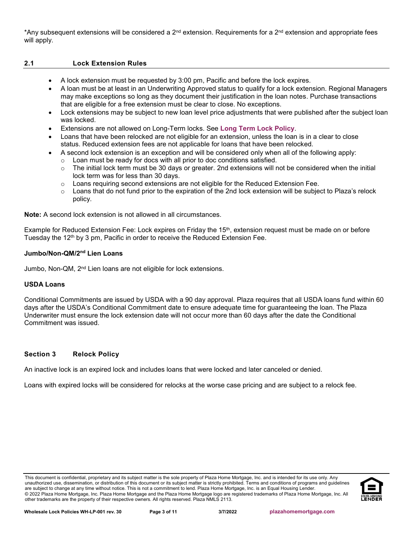\*Any subsequent extensions will be considered a 2<sup>nd</sup> extension. Requirements for a 2<sup>nd</sup> extension and appropriate fees will apply.

## <span id="page-2-0"></span>**2.1 Lock Extension Rules**

- A lock extension must be requested by 3:00 pm, Pacific and before the lock expires.
- A loan must be at least in an Underwriting Approved status to qualify for a lock extension. Regional Managers may make exceptions so long as they document their justification in the loan notes. Purchase transactions that are eligible for a free extension must be clear to close. No exceptions.
- Lock extensions may be subject to new loan level price adjustments that were published after the subject loan was locked.
- Extensions are not allowed on Long-Term locks. See **[Long Term Lock Policy](#page-5-4)**.
- Loans that have been relocked are not eligible for an extension, unless the loan is in a clear to close status. Reduced extension fees are not applicable for loans that have been relocked.
	- A second lock extension is an exception and will be considered only when all of the following apply:
	- $\circ$  Loan must be ready for docs with all prior to doc conditions satisfied.
	- $\circ$  The initial lock term must be 30 days or greater. 2nd extensions will not be considered when the initial lock term was for less than 30 days.
	- $\circ$  Loans requiring second extensions are not eligible for the Reduced Extension Fee.
	- $\circ$  Loans that do not fund prior to the expiration of the 2nd lock extension will be subject to Plaza's relock policy.

**Note:** A second lock extension is not allowed in all circumstances.

Example for Reduced Extension Fee: Lock expires on Friday the 15<sup>th</sup>, extension request must be made on or before Tuesday the 12<sup>th</sup> by 3 pm, Pacific in order to receive the Reduced Extension Fee.

## **Jumbo/Non-QM/2nd Lien Loans**

Jumbo, Non-QM, 2nd Lien loans are not eligible for lock extensions.

#### **USDA Loans**

Conditional Commitments are issued by USDA with a 90 day approval. Plaza requires that all USDA loans fund within 60 days after the USDA's Conditional Commitment date to ensure adequate time for guaranteeing the loan. The Plaza Underwriter must ensure the lock extension date will not occur more than 60 days after the date the Conditional Commitment was issued.

# <span id="page-2-1"></span>**Section 3 Relock Policy**

An inactive lock is an expired lock and includes loans that were locked and later canceled or denied.

Loans with expired locks will be considered for relocks at the worse case pricing and are subject to a relock fee.

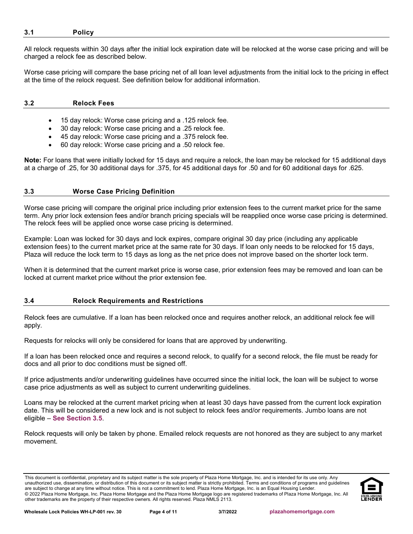#### <span id="page-3-0"></span>**3.1 Policy**

All relock requests within 30 days after the initial lock expiration date will be relocked at the worse case pricing and will be charged a relock fee as described below.

Worse case pricing will compare the base pricing net of all loan level adjustments from the initial lock to the pricing in effect at the time of the relock request. See definition below for additional information.

#### <span id="page-3-1"></span>**3.2 Relock Fees**

- 15 day relock: Worse case pricing and a .125 relock fee.
- 30 day relock: Worse case pricing and a .25 relock fee.
- 45 day relock: Worse case pricing and a .375 relock fee.
- 60 day relock: Worse case pricing and a .50 relock fee.

**Note:** For loans that were initially locked for 15 days and require a relock, the loan may be relocked for 15 additional days at a charge of .25, for 30 additional days for .375, for 45 additional days for .50 and for 60 additional days for .625.

## <span id="page-3-2"></span>**3.3 Worse Case Pricing Definition**

Worse case pricing will compare the original price including prior extension fees to the current market price for the same term. Any prior lock extension fees and/or branch pricing specials will be reapplied once worse case pricing is determined. The relock fees will be applied once worse case pricing is determined.

Example: Loan was locked for 30 days and lock expires, compare original 30 day price (including any applicable extension fees) to the current market price at the same rate for 30 days. If loan only needs to be relocked for 15 days, Plaza will reduce the lock term to 15 days as long as the net price does not improve based on the shorter lock term.

When it is determined that the current market price is worse case, prior extension fees may be removed and loan can be locked at current market price without the prior extension fee.

# <span id="page-3-3"></span>**3.4 Relock Requirements and Restrictions**

Relock fees are cumulative. If a loan has been relocked once and requires another relock, an additional relock fee will apply.

Requests for relocks will only be considered for loans that are approved by underwriting.

If a loan has been relocked once and requires a second relock, to qualify for a second relock, the file must be ready for docs and all prior to doc conditions must be signed off.

If price adjustments and/or underwriting guidelines have occurred since the initial lock, the loan will be subject to worse case price adjustments as well as subject to current underwriting guidelines.

Loans may be relocked at the current market pricing when at least 30 days have passed from the current lock expiration date. This will be considered a new lock and is not subject to relock fees and/or requirements. Jumbo loans are not eligible – **[See Section 3.5](#page-4-0)**.

Relock requests will only be taken by phone. Emailed relock requests are not honored as they are subject to any market movement.

This document is confidential, proprietary and its subject matter is the sole property of Plaza Home Mortgage, Inc. and is intended for its use only. Any unauthorized use, dissemination, or distribution of this document or its subject matter is strictly prohibited. Terms and conditions of programs and guidelines are subject to change at any time without notice. This is not a commitment to lend. Plaza Home Mortgage, Inc. is an Equal Housing Lender. © 2022 Plaza Home Mortgage, Inc. Plaza Home Mortgage and the Plaza Home Mortgage logo are registered trademarks of Plaza Home Mortgage, Inc. All other trademarks are the property of their respective owners. All rights reserved. Plaza NMLS 2113.

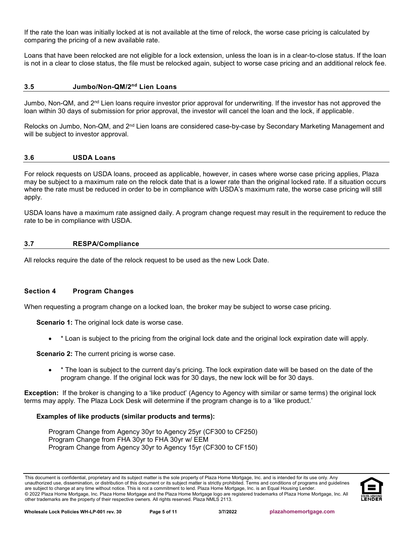If the rate the loan was initially locked at is not available at the time of relock, the worse case pricing is calculated by comparing the pricing of a new available rate.

Loans that have been relocked are not eligible for a lock extension, unless the loan is in a clear-to-close status. If the loan is not in a clear to close status, the file must be relocked again, subject to worse case pricing and an additional relock fee.

#### <span id="page-4-0"></span>**3.5 Jumbo/Non-QM/2nd Lien Loans**

Jumbo, Non-QM, and 2nd Lien loans require investor prior approval for underwriting. If the investor has not approved the loan within 30 days of submission for prior approval, the investor will cancel the loan and the lock, if applicable.

Relocks on Jumbo, Non-QM, and 2<sup>nd</sup> Lien loans are considered case-by-case by Secondary Marketing Management and will be subject to investor approval.

#### <span id="page-4-1"></span>**3.6 USDA Loans**

For relock requests on USDA loans, proceed as applicable, however, in cases where worse case pricing applies, Plaza may be subject to a maximum rate on the relock date that is a lower rate than the original locked rate. If a situation occurs where the rate must be reduced in order to be in compliance with USDA's maximum rate, the worse case pricing will still apply.

USDA loans have a maximum rate assigned daily. A program change request may result in the requirement to reduce the rate to be in compliance with USDA.

#### <span id="page-4-2"></span>**3.7 RESPA/Compliance**

All relocks require the date of the relock request to be used as the new Lock Date.

#### <span id="page-4-3"></span>**Section 4 Program Changes**

When requesting a program change on a locked loan, the broker may be subject to worse case pricing.

**Scenario 1:** The original lock date is worse case.

• \* Loan is subject to the pricing from the original lock date and the original lock expiration date will apply.

**Scenario 2:** The current pricing is worse case.

• \* The loan is subject to the current day's pricing. The lock expiration date will be based on the date of the program change. If the original lock was for 30 days, the new lock will be for 30 days.

**Exception:** If the broker is changing to a 'like product' (Agency to Agency with similar or same terms) the original lock terms may apply. The Plaza Lock Desk will determine if the program change is to a 'like product.'

#### **Examples of like products (similar products and terms):**

Program Change from Agency 30yr to Agency 25yr (CF300 to CF250) Program Change from FHA 30yr to FHA 30yr w/ EEM Program Change from Agency 30yr to Agency 15yr (CF300 to CF150)

This document is confidential, proprietary and its subject matter is the sole property of Plaza Home Mortgage, Inc. and is intended for its use only. Any unauthorized use, dissemination, or distribution of this document or its subject matter is strictly prohibited. Terms and conditions of programs and guidelines are subject to change at any time without notice. This is not a commitment to lend. Plaza Home Mortgage, Inc. is an Equal Housing Lender. © 2022 Plaza Home Mortgage, Inc. Plaza Home Mortgage and the Plaza Home Mortgage logo are registered trademarks of Plaza Home Mortgage, Inc. All other trademarks are the property of their respective owners. All rights reserved. Plaza NMLS 2113.

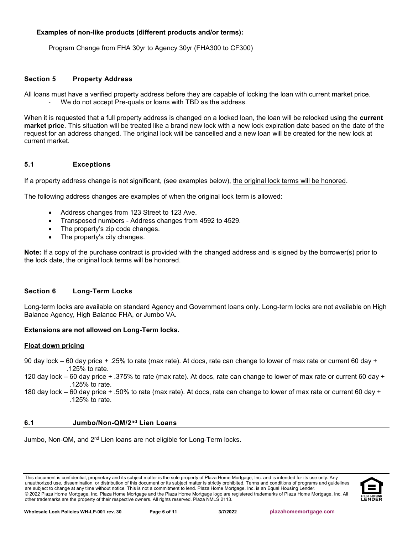## **Examples of non-like products (different products and/or terms):**

Program Change from FHA 30yr to Agency 30yr (FHA300 to CF300)

## <span id="page-5-0"></span>**Section 5 Property Address**

All loans must have a verified property address before they are capable of locking the loan with current market price. We do not accept Pre-quals or loans with TBD as the address.

When it is requested that a full property address is changed on a locked loan, the loan will be relocked using the **current market price**. This situation will be treated like a brand new lock with a new lock expiration date based on the date of the request for an address changed. The original lock will be cancelled and a new loan will be created for the new lock at current market.

#### <span id="page-5-1"></span>**5.1 Exceptions**

If a property address change is not significant, (see examples below), the original lock terms will be honored.

The following address changes are examples of when the original lock term is allowed:

- Address changes from 123 Street to 123 Ave.
- Transposed numbers Address changes from 4592 to 4529.
- The property's zip code changes.
- The property's city changes.

**Note:** If a copy of the purchase contract is provided with the changed address and is signed by the borrower(s) prior to the lock date, the original lock terms will be honored.

# <span id="page-5-4"></span><span id="page-5-2"></span>**Section 6 Long-Term Locks**

Long-term locks are available on standard Agency and Government loans only. Long-term locks are not available on High Balance Agency, High Balance FHA, or Jumbo VA.

#### **Extensions are not allowed on Long-Term locks.**

#### **Float down pricing**

- 90 day lock 60 day price + .25% to rate (max rate). At docs, rate can change to lower of max rate or current 60 day + .125% to rate.
- 120 day lock 60 day price + .375% to rate (max rate). At docs, rate can change to lower of max rate or current 60 day + .125% to rate.
- 180 day lock 60 day price + .50% to rate (max rate). At docs, rate can change to lower of max rate or current 60 day + .125% to rate.

## <span id="page-5-3"></span>**6.1 Jumbo/Non-QM/2nd Lien Loans**

Jumbo, Non-QM, and 2<sup>nd</sup> Lien loans are not eligible for Long-Term locks.

This document is confidential, proprietary and its subject matter is the sole property of Plaza Home Mortgage, Inc. and is intended for its use only. Any unauthorized use, dissemination, or distribution of this document or its subject matter is strictly prohibited. Terms and conditions of programs and guidelines are subject to change at any time without notice. This is not a commitment to lend. Plaza Home Mortgage, Inc. is an Equal Housing Lender © 2022 Plaza Home Mortgage, Inc. Plaza Home Mortgage and the Plaza Home Mortgage logo are registered trademarks of Plaza Home Mortgage, Inc. All other trademarks are the property of their respective owners. All rights reserved. Plaza NMLS 2113.

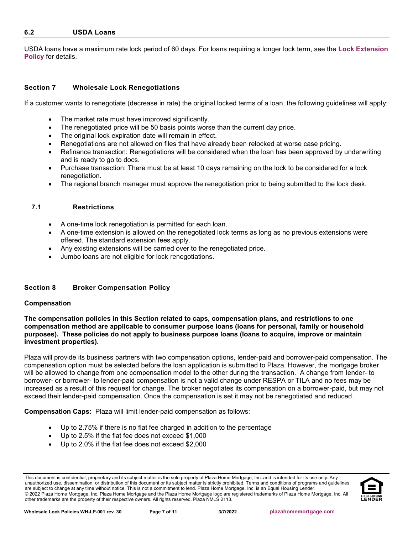## <span id="page-6-0"></span>**6.2 USDA Loans**

USDA loans have a maximum rate lock period of 60 days. For loans requiring a longer lock term, see the **[Lock Extension](#page-1-3)  [Policy](#page-1-3)** for details.

# <span id="page-6-1"></span>**Section 7 Wholesale Lock Renegotiations**

If a customer wants to renegotiate (decrease in rate) the original locked terms of a loan, the following guidelines will apply:

- The market rate must have improved significantly.
- The renegotiated price will be 50 basis points worse than the current day price.
- The original lock expiration date will remain in effect.
- Renegotiations are not allowed on files that have already been relocked at worse case pricing.
- Refinance transaction: Renegotiations will be considered when the loan has been approved by underwriting and is ready to go to docs.
- Purchase transaction: There must be at least 10 days remaining on the lock to be considered for a lock renegotiation.
- The regional branch manager must approve the renegotiation prior to being submitted to the lock desk.

#### <span id="page-6-2"></span>**7.1 Restrictions**

- A one-time lock renegotiation is permitted for each loan.
- A one-time extension is allowed on the renegotiated lock terms as long as no previous extensions were offered. The standard extension fees apply.
- Any existing extensions will be carried over to the renegotiated price.
- Jumbo loans are not eligible for lock renegotiations.

# <span id="page-6-3"></span>**Section 8 Broker Compensation Policy**

#### **Compensation**

**The compensation policies in this Section related to caps, compensation plans, and restrictions to one compensation method are applicable to consumer purpose loans (loans for personal, family or household purposes). These policies do not apply to business purpose loans (loans to acquire, improve or maintain investment properties).**

Plaza will provide its business partners with two compensation options, lender-paid and borrower-paid compensation. The compensation option must be selected before the loan application is submitted to Plaza. However, the mortgage broker will be allowed to change from one compensation model to the other during the transaction. A change from lender- to borrower- or borrower- to lender-paid compensation is not a valid change under RESPA or TILA and no fees may be increased as a result of this request for change. The broker negotiates its compensation on a borrower-paid, but may not exceed their lender-paid compensation. Once the compensation is set it may not be renegotiated and reduced.

**Compensation Caps:** Plaza will limit lender-paid compensation as follows:

- Up to 2.75% if there is no flat fee charged in addition to the percentage
- Up to 2.5% if the flat fee does not exceed \$1,000
- Up to 2.0% if the flat fee does not exceed \$2,000

This document is confidential, proprietary and its subject matter is the sole property of Plaza Home Mortgage, Inc. and is intended for its use only. Any unauthorized use, dissemination, or distribution of this document or its subject matter is strictly prohibited. Terms and conditions of programs and guidelines are subject to change at any time without notice. This is not a commitment to lend. Plaza Home Mortgage, Inc. is an Equal Housing Lender © 2022 Plaza Home Mortgage, Inc. Plaza Home Mortgage and the Plaza Home Mortgage logo are registered trademarks of Plaza Home Mortgage, Inc. All other trademarks are the property of their respective owners. All rights reserved. Plaza NMLS 2113.

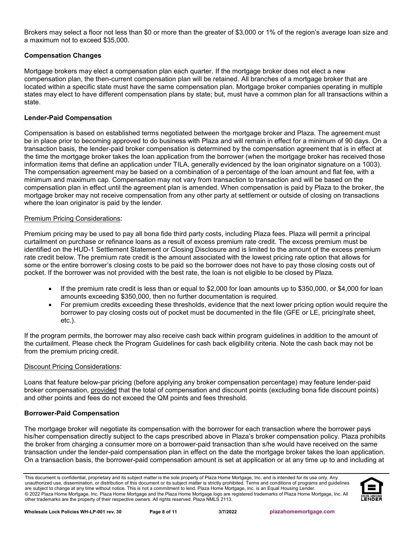Brokers may select a floor not less than \$0 or more than the greater of \$3,000 or 1% of the region's average loan size and a maximum not to exceed \$35,000.

# **Compensation Changes**

Mortgage brokers may elect a compensation plan each quarter. If the mortgage broker does not elect a new compensation plan, the then-current compensation plan will be retained. All branches of a mortgage broker that are located within a specific state must have the same compensation plan. Mortgage broker companies operating in multiple states may elect to have different compensation plans by state; but, must have a common plan for all transactions within a state.

## **Lender-Paid Compensation**

Compensation is based on established terms negotiated between the mortgage broker and Plaza. The agreement must be in place prior to becoming approved to do business with Plaza and will remain in effect for a minimum of 90 days. On a transaction basis, the lender-paid broker compensation is determined by the compensation agreement that is in effect at the time the mortgage broker takes the loan application from the borrower (when the mortgage broker has received those information items that define an application under TILA, generally evidenced by the loan originator signature on a 1003). The compensation agreement may be based on a combination of a percentage of the loan amount and flat fee, with a minimum and maximum cap. Compensation may not vary from transaction to transaction and will be based on the compensation plan in effect until the agreement plan is amended. When compensation is paid by Plaza to the broker, the mortgage broker may not receive compensation from any other party at settlement or outside of closing on transactions where the loan originator is paid by the lender.

## Premium Pricing Considerations:

Premium pricing may be used to pay all bona fide third party costs, including Plaza fees. Plaza will permit a principal curtailment on purchase or refinance loans as a result of excess premium rate credit. The excess premium must be identified on the HUD-1 Settlement Statement or Closing Disclosure and is limited to the amount of the excess premium rate credit below. The premium rate credit is the amount associated with the lowest pricing rate option that allows for some or the entire borrower's closing costs to be paid so the borrower does not have to pay those closing costs out of pocket. If the borrower was not provided with the best rate, the loan is not eligible to be closed by Plaza.

- If the premium rate credit is less than or equal to \$2,000 for loan amounts up to \$350,000, or \$4,000 for loan amounts exceeding \$350,000, then no further documentation is required.
- For premium credits exceeding these thresholds, evidence that the next lower pricing option would require the borrower to pay closing costs out of pocket must be documented in the file (GFE or LE, pricing/rate sheet, etc.).

If the program permits, the borrower may also receive cash back within program guidelines in addition to the amount of the curtailment. Please check the Program Guidelines for cash back eligibility criteria. Note the cash back may not be from the premium pricing credit.

#### **Discount Pricing Considerations:**

Loans that feature below-par pricing (before applying any broker compensation percentage) may feature lender-paid broker compensation, provided that the total of compensation and discount points (excluding bona fide discount points) and other points and fees do not exceed the QM points and fees threshold.

# **Borrower-Paid Compensation**

The mortgage broker will negotiate its compensation with the borrower for each transaction where the borrower pays his/her compensation directly subject to the caps prescribed above in Plaza's broker compensation policy. Plaza prohibits the broker from charging a consumer more on a borrower-paid transaction than s/he would have received on the same transaction under the lender-paid compensation plan in effect on the date the mortgage broker takes the loan application. On a transaction basis, the borrower-paid compensation amount is set at application or at any time up to and including at

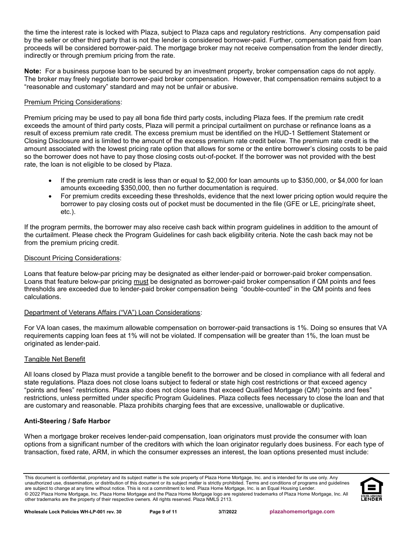the time the interest rate is locked with Plaza, subject to Plaza caps and regulatory restrictions. Any compensation paid by the seller or other third party that is not the lender is considered borrower-paid. Further, compensation paid from loan proceeds will be considered borrower-paid. The mortgage broker may not receive compensation from the lender directly, indirectly or through premium pricing from the rate.

**Note:** For a business purpose loan to be secured by an investment property, broker compensation caps do not apply. The broker may freely negotiate borrower-paid broker compensation. However, that compensation remains subject to a "reasonable and customary" standard and may not be unfair or abusive.

# Premium Pricing Considerations:

Premium pricing may be used to pay all bona fide third party costs, including Plaza fees. If the premium rate credit exceeds the amount of third party costs, Plaza will permit a principal curtailment on purchase or refinance loans as a result of excess premium rate credit. The excess premium must be identified on the HUD-1 Settlement Statement or Closing Disclosure and is limited to the amount of the excess premium rate credit below. The premium rate credit is the amount associated with the lowest pricing rate option that allows for some or the entire borrower's closing costs to be paid so the borrower does not have to pay those closing costs out-of-pocket. If the borrower was not provided with the best rate, the loan is not eligible to be closed by Plaza.

- If the premium rate credit is less than or equal to \$2,000 for loan amounts up to \$350,000, or \$4,000 for loan amounts exceeding \$350,000, then no further documentation is required.
- For premium credits exceeding these thresholds, evidence that the next lower pricing option would require the borrower to pay closing costs out of pocket must be documented in the file (GFE or LE, pricing/rate sheet, etc.).

If the program permits, the borrower may also receive cash back within program guidelines in addition to the amount of the curtailment. Please check the Program Guidelines for cash back eligibility criteria. Note the cash back may not be from the premium pricing credit.

# Discount Pricing Considerations:

Loans that feature below-par pricing may be designated as either lender-paid or borrower-paid broker compensation. Loans that feature below-par pricing must be designated as borrower-paid broker compensation if QM points and fees thresholds are exceeded due to lender-paid broker compensation being "double-counted" in the QM points and fees calculations.

# Department of Veterans Affairs ("VA") Loan Considerations:

For VA loan cases, the maximum allowable compensation on borrower-paid transactions is 1%. Doing so ensures that VA requirements capping loan fees at 1% will not be violated. If compensation will be greater than 1%, the loan must be originated as lender-paid.

# Tangible Net Benefit

All loans closed by Plaza must provide a tangible benefit to the borrower and be closed in compliance with all federal and state regulations. Plaza does not close loans subject to federal or state high cost restrictions or that exceed agency "points and fees" restrictions. Plaza also does not close loans that exceed Qualified Mortgage (QM) "points and fees" restrictions, unless permitted under specific Program Guidelines. Plaza collects fees necessary to close the loan and that are customary and reasonable. Plaza prohibits charging fees that are excessive, unallowable or duplicative.

# **Anti-Steering / Safe Harbor**

When a mortgage broker receives lender-paid compensation, loan originators must provide the consumer with loan options from a significant number of the creditors with which the loan originator regularly does business. For each type of transaction, fixed rate, ARM, in which the consumer expresses an interest, the loan options presented must include:

This document is confidential, proprietary and its subject matter is the sole property of Plaza Home Mortgage, Inc. and is intended for its use only. Any unauthorized use, dissemination, or distribution of this document or its subject matter is strictly prohibited. Terms and conditions of programs and guidelines are subject to change at any time without notice. This is not a commitment to lend. Plaza Home Mortgage, Inc. is an Equal Housing Lender. © 2022 Plaza Home Mortgage, Inc. Plaza Home Mortgage and the Plaza Home Mortgage logo are registered trademarks of Plaza Home Mortgage, Inc. All other trademarks are the property of their respective owners. All rights reserved. Plaza NMLS 2113.

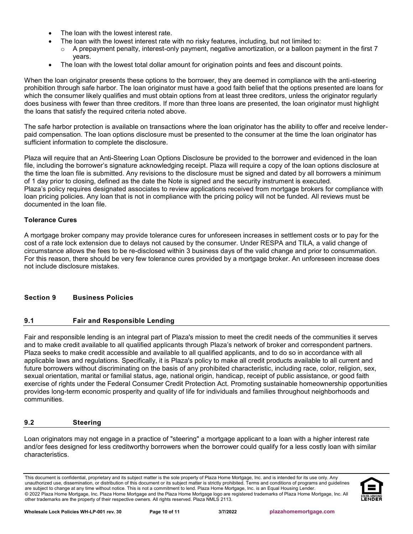- The loan with the lowest interest rate.
	- The loan with the lowest interest rate with no risky features, including, but not limited to:
	- A prepayment penalty, interest-only payment, negative amortization, or a balloon payment in the first 7 years.
- The loan with the lowest total dollar amount for origination points and fees and discount points.

When the loan originator presents these options to the borrower, they are deemed in compliance with the anti-steering prohibition through safe harbor. The loan originator must have a good faith belief that the options presented are loans for which the consumer likely qualifies and must obtain options from at least three creditors, unless the originator regularly does business with fewer than three creditors. If more than three loans are presented, the loan originator must highlight the loans that satisfy the required criteria noted above.

The safe harbor protection is available on transactions where the loan originator has the ability to offer and receive lenderpaid compensation. The loan options disclosure must be presented to the consumer at the time the loan originator has sufficient information to complete the disclosure.

Plaza will require that an Anti-Steering Loan Options Disclosure be provided to the borrower and evidenced in the loan file, including the borrower's signature acknowledging receipt. Plaza will require a copy of the loan options disclosure at the time the loan file is submitted. Any revisions to the disclosure must be signed and dated by all borrowers a minimum of 1 day prior to closing, defined as the date the Note is signed and the security instrument is executed. Plaza's policy requires designated associates to review applications received from mortgage brokers for compliance with loan pricing policies. Any loan that is not in compliance with the pricing policy will not be funded. All reviews must be documented in the loan file.

## **Tolerance Cures**

A mortgage broker company may provide tolerance cures for unforeseen increases in settlement costs or to pay for the cost of a rate lock extension due to delays not caused by the consumer. Under RESPA and TILA, a valid change of circumstance allows the fees to be re-disclosed within 3 business days of the valid change and prior to consummation. For this reason, there should be very few tolerance cures provided by a mortgage broker. An unforeseen increase does not include disclosure mistakes.

# <span id="page-9-0"></span>**Section 9 Business Policies**

# <span id="page-9-1"></span>**9.1 Fair and Responsible Lending**

Fair and responsible lending is an integral part of Plaza's mission to meet the credit needs of the communities it serves and to make credit available to all qualified applicants through Plaza's network of broker and correspondent partners. Plaza seeks to make credit accessible and available to all qualified applicants, and to do so in accordance with all applicable laws and regulations. Specifically, it is Plaza's policy to make all credit products available to all current and future borrowers without discriminating on the basis of any prohibited characteristic, including race, color, religion, sex, sexual orientation, marital or familial status, age, national origin, handicap, receipt of public assistance, or good faith exercise of rights under the Federal Consumer Credit Protection Act. Promoting sustainable homeownership opportunities provides long-term economic prosperity and quality of life for individuals and families throughout neighborhoods and communities.

# <span id="page-9-2"></span>**9.2 Steering**

Loan originators may not engage in a practice of "steering" a mortgage applicant to a loan with a higher interest rate and/or fees designed for less creditworthy borrowers when the borrower could qualify for a less costly loan with similar characteristics.

This document is confidential, proprietary and its subject matter is the sole property of Plaza Home Mortgage, Inc. and is intended for its use only. Any unauthorized use, dissemination, or distribution of this document or its subject matter is strictly prohibited. Terms and conditions of programs and guidelines are subject to change at any time without notice. This is not a commitment to lend. Plaza Home Mortgage, Inc. is an Equal Housing Lender © 2022 Plaza Home Mortgage, Inc. Plaza Home Mortgage and the Plaza Home Mortgage logo are registered trademarks of Plaza Home Mortgage, Inc. All other trademarks are the property of their respective owners. All rights reserved. Plaza NMLS 2113.